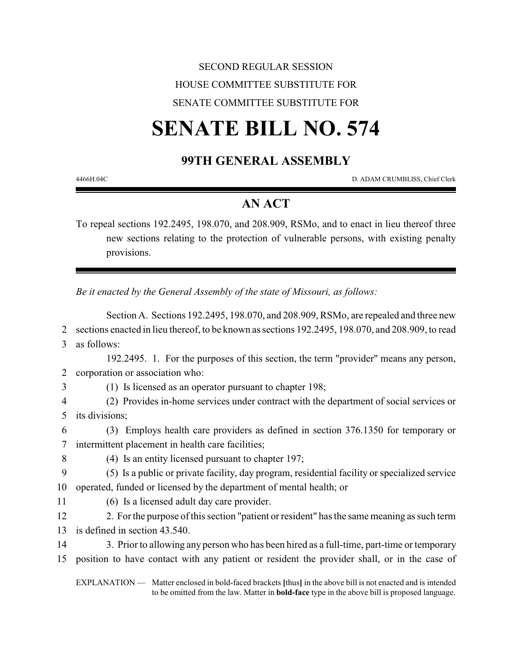# SECOND REGULAR SESSION HOUSE COMMITTEE SUBSTITUTE FOR SENATE COMMITTEE SUBSTITUTE FOR

# **SENATE BILL NO. 574**

# **99TH GENERAL ASSEMBLY**

4466H.04C D. ADAM CRUMBLISS, Chief Clerk

# **AN ACT**

To repeal sections 192.2495, 198.070, and 208.909, RSMo, and to enact in lieu thereof three new sections relating to the protection of vulnerable persons, with existing penalty provisions.

*Be it enacted by the General Assembly of the state of Missouri, as follows:*

Section A. Sections 192.2495, 198.070, and 208.909, RSMo, are repealed and three new sections enacted in lieu thereof, to be known as sections 192.2495, 198.070, and 208.909, to read as follows: 192.2495. 1. For the purposes of this section, the term "provider" means any person, corporation or association who: (1) Is licensed as an operator pursuant to chapter 198; (2) Provides in-home services under contract with the department of social services or its divisions; (3) Employs health care providers as defined in section 376.1350 for temporary or intermittent placement in health care facilities; (4) Is an entity licensed pursuant to chapter 197; (5) Is a public or private facility, day program, residential facility or specialized service operated, funded or licensed by the department of mental health; or (6) Is a licensed adult day care provider. 2. For the purpose of this section "patient or resident" has the same meaning as such term is defined in section 43.540. 14 3. Prior to allowing any person who has been hired as a full-time, part-time or temporary position to have contact with any patient or resident the provider shall, or in the case of EXPLANATION — Matter enclosed in bold-faced brackets **[**thus**]** in the above bill is not enacted and is intended to be omitted from the law. Matter in **bold-face** type in the above bill is proposed language.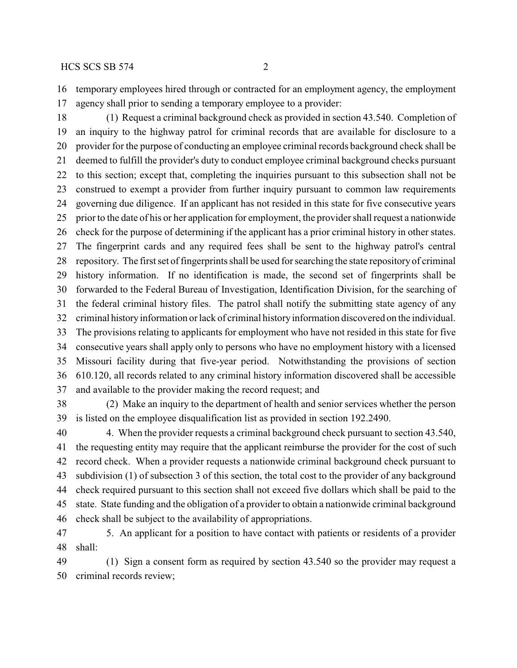temporary employees hired through or contracted for an employment agency, the employment agency shall prior to sending a temporary employee to a provider:

 (1) Request a criminal background check as provided in section 43.540. Completion of an inquiry to the highway patrol for criminal records that are available for disclosure to a provider for the purpose of conducting an employee criminal records background check shall be deemed to fulfill the provider's duty to conduct employee criminal background checks pursuant to this section; except that, completing the inquiries pursuant to this subsection shall not be construed to exempt a provider from further inquiry pursuant to common law requirements governing due diligence. If an applicant has not resided in this state for five consecutive years prior to the date of his or her application for employment, the provider shall request a nationwide check for the purpose of determining if the applicant has a prior criminal history in other states. The fingerprint cards and any required fees shall be sent to the highway patrol's central repository. The first set of fingerprints shall be used for searching the state repository of criminal history information. If no identification is made, the second set of fingerprints shall be forwarded to the Federal Bureau of Investigation, Identification Division, for the searching of the federal criminal history files. The patrol shall notify the submitting state agency of any criminal historyinformation or lack of criminal historyinformation discovered on the individual. The provisions relating to applicants for employment who have not resided in this state for five consecutive years shall apply only to persons who have no employment history with a licensed Missouri facility during that five-year period. Notwithstanding the provisions of section 610.120, all records related to any criminal history information discovered shall be accessible and available to the provider making the record request; and

 (2) Make an inquiry to the department of health and senior services whether the person is listed on the employee disqualification list as provided in section 192.2490.

 4. When the provider requests a criminal background check pursuant to section 43.540, the requesting entity may require that the applicant reimburse the provider for the cost of such record check. When a provider requests a nationwide criminal background check pursuant to subdivision (1) of subsection 3 of this section, the total cost to the provider of any background check required pursuant to this section shall not exceed five dollars which shall be paid to the state. State funding and the obligation of a provider to obtain a nationwide criminal background check shall be subject to the availability of appropriations.

 5. An applicant for a position to have contact with patients or residents of a provider shall:

 (1) Sign a consent form as required by section 43.540 so the provider may request a criminal records review;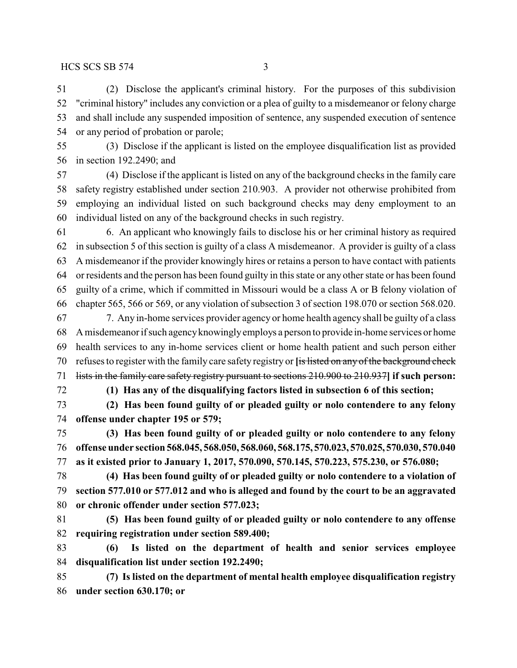(2) Disclose the applicant's criminal history. For the purposes of this subdivision "criminal history" includes any conviction or a plea of guilty to a misdemeanor or felony charge and shall include any suspended imposition of sentence, any suspended execution of sentence or any period of probation or parole;

 (3) Disclose if the applicant is listed on the employee disqualification list as provided in section 192.2490; and

 (4) Disclose if the applicant is listed on any of the background checks in the family care safety registry established under section 210.903. A provider not otherwise prohibited from employing an individual listed on such background checks may deny employment to an individual listed on any of the background checks in such registry.

 6. An applicant who knowingly fails to disclose his or her criminal history as required in subsection 5 of this section is guilty of a class A misdemeanor. A provider is guilty of a class A misdemeanor if the provider knowingly hires or retains a person to have contact with patients or residents and the person has been found guilty in this state or any other state or has been found guilty of a crime, which if committed in Missouri would be a class A or B felony violation of chapter 565, 566 or 569, or any violation of subsection 3 of section 198.070 or section 568.020. 7. Any in-home services provider agency or home health agency shall be guilty of a class

 A misdemeanor if such agencyknowinglyemploys a person to provide in-home services or home health services to any in-home services client or home health patient and such person either refuses to register with the family care safety registry or **[**is listed on any of the background check lists in the family care safety registry pursuant to sections 210.900 to 210.937**] if such person:**

**(1) Has any of the disqualifying factors listed in subsection 6 of this section;**

 **(2) Has been found guilty of or pleaded guilty or nolo contendere to any felony offense under chapter 195 or 579;**

 **(3) Has been found guilty of or pleaded guilty or nolo contendere to any felony offense under section 568.045, 568.050, 568.060, 568.175, 570.023, 570.025, 570.030, 570.040 as it existed prior to January 1, 2017, 570.090, 570.145, 570.223, 575.230, or 576.080;**

 **(4) Has been found guilty of or pleaded guilty or nolo contendere to a violation of section 577.010 or 577.012 and who is alleged and found by the court to be an aggravated or chronic offender under section 577.023;**

 **(5) Has been found guilty of or pleaded guilty or nolo contendere to any offense requiring registration under section 589.400;**

 **(6) Is listed on the department of health and senior services employee disqualification list under section 192.2490;**

 **(7) Is listed on the department of mental health employee disqualification registry under section 630.170; or**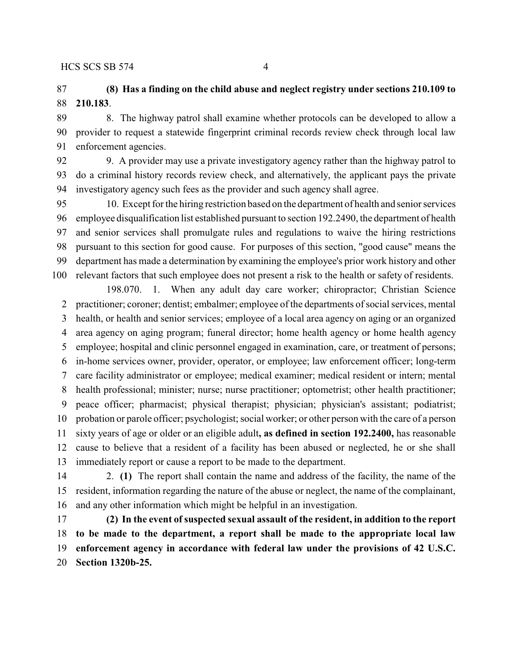#### $HCS$  SCS SB 574 4

### **(8) Has a finding on the child abuse and neglect registry under sections 210.109 to 210.183**.

 8. The highway patrol shall examine whether protocols can be developed to allow a provider to request a statewide fingerprint criminal records review check through local law enforcement agencies.

 9. A provider may use a private investigatory agency rather than the highway patrol to do a criminal history records review check, and alternatively, the applicant pays the private investigatory agency such fees as the provider and such agency shall agree.

 10. Except for the hiring restriction based on the department of health and senior services employee disqualification list established pursuant to section 192.2490, the department of health and senior services shall promulgate rules and regulations to waive the hiring restrictions pursuant to this section for good cause. For purposes of this section, "good cause" means the department has made a determination by examining the employee's prior work history and other relevant factors that such employee does not present a risk to the health or safety of residents.

198.070. 1. When any adult day care worker; chiropractor; Christian Science practitioner; coroner; dentist; embalmer; employee of the departments of social services, mental health, or health and senior services; employee of a local area agency on aging or an organized area agency on aging program; funeral director; home health agency or home health agency employee; hospital and clinic personnel engaged in examination, care, or treatment of persons; in-home services owner, provider, operator, or employee; law enforcement officer; long-term care facility administrator or employee; medical examiner; medical resident or intern; mental health professional; minister; nurse; nurse practitioner; optometrist; other health practitioner; peace officer; pharmacist; physical therapist; physician; physician's assistant; podiatrist; probation or parole officer; psychologist; social worker; or other person with the care of a person sixty years of age or older or an eligible adult**, as defined in section 192.2400,** has reasonable cause to believe that a resident of a facility has been abused or neglected, he or she shall immediately report or cause a report to be made to the department.

 2. **(1)** The report shall contain the name and address of the facility, the name of the resident, information regarding the nature of the abuse or neglect, the name of the complainant, and any other information which might be helpful in an investigation.

 **(2) In the event of suspected sexual assault of the resident, in addition to the report to be made to the department, a report shall be made to the appropriate local law enforcement agency in accordance with federal law under the provisions of 42 U.S.C. Section 1320b-25.**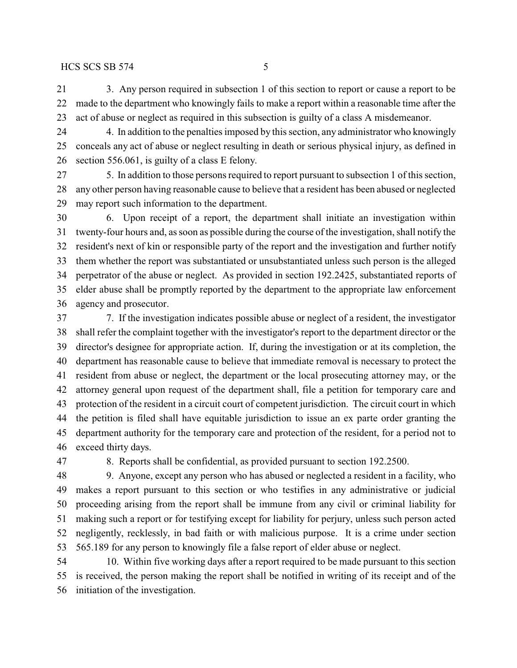#### $HCS$  SCS SB 574 5

 3. Any person required in subsection 1 of this section to report or cause a report to be made to the department who knowingly fails to make a report within a reasonable time after the act of abuse or neglect as required in this subsection is guilty of a class A misdemeanor.

 4. In addition to the penalties imposed by this section, any administrator who knowingly conceals any act of abuse or neglect resulting in death or serious physical injury, as defined in section 556.061, is guilty of a class E felony.

 5. In addition to those persons required to report pursuant to subsection 1 of this section, any other person having reasonable cause to believe that a resident has been abused or neglected may report such information to the department.

 6. Upon receipt of a report, the department shall initiate an investigation within twenty-four hours and, as soon as possible during the course of the investigation, shall notify the resident's next of kin or responsible party of the report and the investigation and further notify them whether the report was substantiated or unsubstantiated unless such person is the alleged perpetrator of the abuse or neglect. As provided in section 192.2425, substantiated reports of elder abuse shall be promptly reported by the department to the appropriate law enforcement agency and prosecutor.

 7. If the investigation indicates possible abuse or neglect of a resident, the investigator shall refer the complaint together with the investigator's report to the department director or the director's designee for appropriate action. If, during the investigation or at its completion, the department has reasonable cause to believe that immediate removal is necessary to protect the resident from abuse or neglect, the department or the local prosecuting attorney may, or the attorney general upon request of the department shall, file a petition for temporary care and protection of the resident in a circuit court of competent jurisdiction. The circuit court in which the petition is filed shall have equitable jurisdiction to issue an ex parte order granting the department authority for the temporary care and protection of the resident, for a period not to exceed thirty days.

8. Reports shall be confidential, as provided pursuant to section 192.2500.

 9. Anyone, except any person who has abused or neglected a resident in a facility, who makes a report pursuant to this section or who testifies in any administrative or judicial proceeding arising from the report shall be immune from any civil or criminal liability for making such a report or for testifying except for liability for perjury, unless such person acted negligently, recklessly, in bad faith or with malicious purpose. It is a crime under section 565.189 for any person to knowingly file a false report of elder abuse or neglect.

 10. Within five working days after a report required to be made pursuant to this section is received, the person making the report shall be notified in writing of its receipt and of the initiation of the investigation.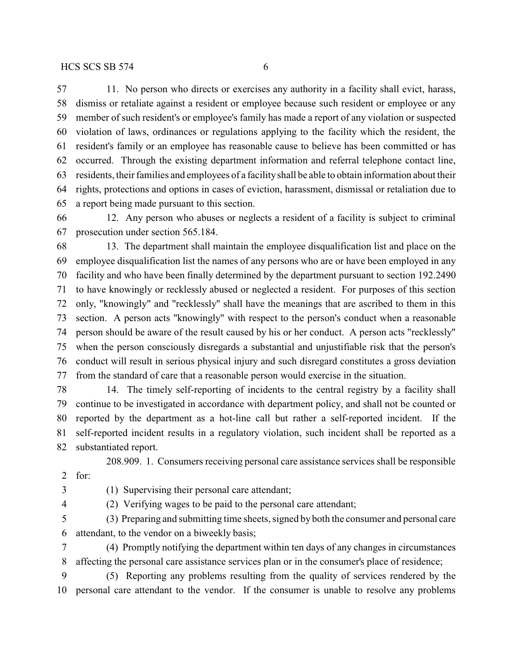11. No person who directs or exercises any authority in a facility shall evict, harass, dismiss or retaliate against a resident or employee because such resident or employee or any member of such resident's or employee's family has made a report of any violation or suspected violation of laws, ordinances or regulations applying to the facility which the resident, the resident's family or an employee has reasonable cause to believe has been committed or has occurred. Through the existing department information and referral telephone contact line, residents, their families and employees of a facilityshall be able to obtain information about their rights, protections and options in cases of eviction, harassment, dismissal or retaliation due to a report being made pursuant to this section.

 12. Any person who abuses or neglects a resident of a facility is subject to criminal prosecution under section 565.184.

 13. The department shall maintain the employee disqualification list and place on the employee disqualification list the names of any persons who are or have been employed in any facility and who have been finally determined by the department pursuant to section 192.2490 to have knowingly or recklessly abused or neglected a resident. For purposes of this section only, "knowingly" and "recklessly" shall have the meanings that are ascribed to them in this section. A person acts "knowingly" with respect to the person's conduct when a reasonable person should be aware of the result caused by his or her conduct. A person acts "recklessly" when the person consciously disregards a substantial and unjustifiable risk that the person's conduct will result in serious physical injury and such disregard constitutes a gross deviation from the standard of care that a reasonable person would exercise in the situation.

 14. The timely self-reporting of incidents to the central registry by a facility shall continue to be investigated in accordance with department policy, and shall not be counted or reported by the department as a hot-line call but rather a self-reported incident. If the self-reported incident results in a regulatory violation, such incident shall be reported as a substantiated report.

208.909. 1. Consumers receiving personal care assistance services shall be responsible

for:

(1) Supervising their personal care attendant;

(2) Verifying wages to be paid to the personal care attendant;

 (3) Preparing and submitting time sheets, signed by both the consumer and personal care attendant, to the vendor on a biweekly basis;

 (4) Promptly notifying the department within ten days of any changes in circumstances affecting the personal care assistance services plan or in the consumer's place of residence;

 (5) Reporting any problems resulting from the quality of services rendered by the personal care attendant to the vendor. If the consumer is unable to resolve any problems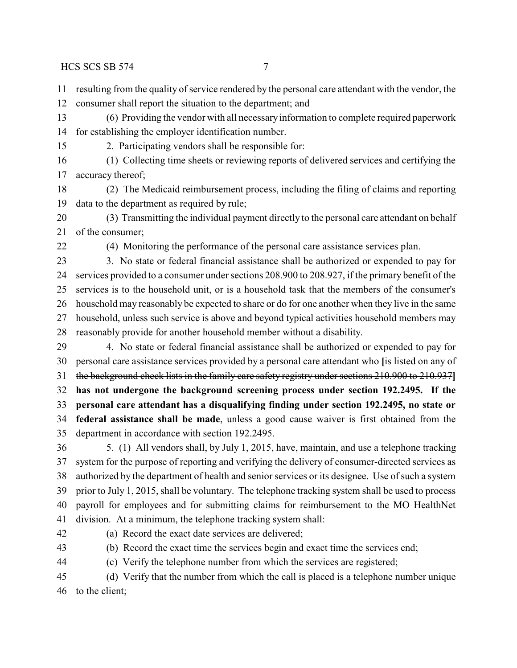$HCS$  SCS SB 574 7

- 
- resulting from the quality of service rendered by the personal care attendant with the vendor, the
- consumer shall report the situation to the department; and
- (6) Providing the vendor with all necessaryinformation to complete required paperwork for establishing the employer identification number.
- 
- 2. Participating vendors shall be responsible for:
- (1) Collecting time sheets or reviewing reports of delivered services and certifying the accuracy thereof;
- (2) The Medicaid reimbursement process, including the filing of claims and reporting data to the department as required by rule;
- (3) Transmitting the individual payment directly to the personal care attendant on behalf of the consumer;
- 
- (4) Monitoring the performance of the personal care assistance services plan.
- 3. No state or federal financial assistance shall be authorized or expended to pay for services provided to a consumer under sections 208.900 to 208.927, if the primary benefit of the services is to the household unit, or is a household task that the members of the consumer's household may reasonably be expected to share or do for one another when they live in the same household, unless such service is above and beyond typical activities household members may reasonably provide for another household member without a disability.
- 4. No state or federal financial assistance shall be authorized or expended to pay for personal care assistance services provided by a personal care attendant who **[**is listed on any of the background check lists in the family care safety registry under sections 210.900 to 210.937**] has not undergone the background screening process under section 192.2495. If the personal care attendant has a disqualifying finding under section 192.2495, no state or federal assistance shall be made**, unless a good cause waiver is first obtained from the department in accordance with section 192.2495.
- 5. (1) All vendors shall, by July 1, 2015, have, maintain, and use a telephone tracking system for the purpose of reporting and verifying the delivery of consumer-directed services as authorized by the department of health and senior services or its designee. Use of such a system prior to July 1, 2015, shall be voluntary. The telephone tracking system shall be used to process payroll for employees and for submitting claims for reimbursement to the MO HealthNet division. At a minimum, the telephone tracking system shall:
- 
- (a) Record the exact date services are delivered;
- 
- (b) Record the exact time the services begin and exact time the services end;
- (c) Verify the telephone number from which the services are registered;
- (d) Verify that the number from which the call is placed is a telephone number unique to the client;